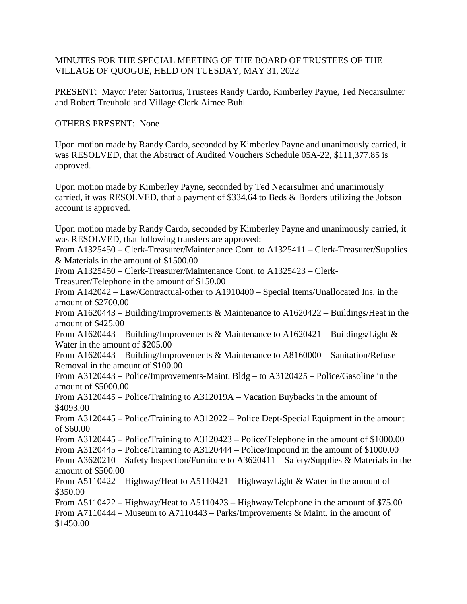## MINUTES FOR THE SPECIAL MEETING OF THE BOARD OF TRUSTEES OF THE VILLAGE OF QUOGUE, HELD ON TUESDAY, MAY 31, 2022

PRESENT: Mayor Peter Sartorius, Trustees Randy Cardo, Kimberley Payne, Ted Necarsulmer and Robert Treuhold and Village Clerk Aimee Buhl

## OTHERS PRESENT: None

Upon motion made by Randy Cardo, seconded by Kimberley Payne and unanimously carried, it was RESOLVED, that the Abstract of Audited Vouchers Schedule 05A-22, \$111,377.85 is approved.

Upon motion made by Kimberley Payne, seconded by Ted Necarsulmer and unanimously carried, it was RESOLVED, that a payment of \$334.64 to Beds & Borders utilizing the Jobson account is approved.

Upon motion made by Randy Cardo, seconded by Kimberley Payne and unanimously carried, it was RESOLVED, that following transfers are approved:

From A1325450 – Clerk-Treasurer/Maintenance Cont. to A1325411 – Clerk-Treasurer/Supplies & Materials in the amount of \$1500.00

From A1325450 – Clerk-Treasurer/Maintenance Cont. to A1325423 – Clerk-Treasurer/Telephone in the amount of \$150.00

From A142042 – Law/Contractual-other to A1910400 – Special Items/Unallocated Ins. in the amount of \$2700.00

From A1620443 – Building/Improvements & Maintenance to A1620422 – Buildings/Heat in the amount of \$425.00

From A1620443 – Building/Improvements & Maintenance to A1620421 – Buildings/Light  $\&$ Water in the amount of \$205.00

From A1620443 – Building/Improvements & Maintenance to A8160000 – Sanitation/Refuse Removal in the amount of \$100.00

From A3120443 – Police/Improvements-Maint. Bldg – to A3120425 – Police/Gasoline in the amount of \$5000.00

From A3120445 – Police/Training to A312019A – Vacation Buybacks in the amount of \$4093.00

From A3120445 – Police/Training to A312022 – Police Dept-Special Equipment in the amount of \$60.00

From A3120445 – Police/Training to A3120423 – Police/Telephone in the amount of \$1000.00 From A3120445 – Police/Training to A3120444 – Police/Impound in the amount of \$1000.00 From A3620210 – Safety Inspection/Furniture to A3620411 – Safety/Supplies & Materials in the amount of \$500.00

From A5110422 – Highway/Heat to A5110421 – Highway/Light & Water in the amount of \$350.00

From A5110422 – Highway/Heat to A5110423 – Highway/Telephone in the amount of \$75.00 From A7110444 – Museum to A7110443 – Parks/Improvements & Maint. in the amount of \$1450.00